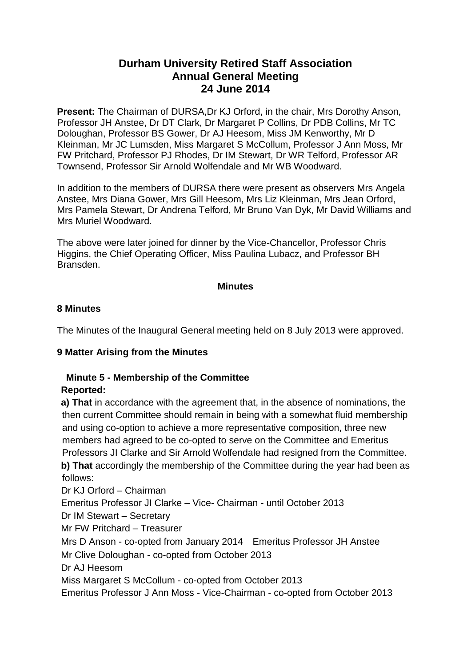# **Durham University Retired Staff Association Annual General Meeting 24 June 2014**

**Present:** The Chairman of DURSA,Dr KJ Orford, in the chair, Mrs Dorothy Anson, Professor JH Anstee, Dr DT Clark, Dr Margaret P Collins, Dr PDB Collins, Mr TC Doloughan, Professor BS Gower, Dr AJ Heesom, Miss JM Kenworthy, Mr D Kleinman, Mr JC Lumsden, Miss Margaret S McCollum, Professor J Ann Moss, Mr FW Pritchard, Professor PJ Rhodes, Dr IM Stewart, Dr WR Telford, Professor AR Townsend, Professor Sir Arnold Wolfendale and Mr WB Woodward.

In addition to the members of DURSA there were present as observers Mrs Angela Anstee, Mrs Diana Gower, Mrs Gill Heesom, Mrs Liz Kleinman, Mrs Jean Orford, Mrs Pamela Stewart, Dr Andrena Telford, Mr Bruno Van Dyk, Mr David Williams and Mrs Muriel Woodward.

The above were later joined for dinner by the Vice-Chancellor, Professor Chris Higgins, the Chief Operating Officer, Miss Paulina Lubacz, and Professor BH Bransden.

#### **Minutes**

## **8 Minutes**

The Minutes of the Inaugural General meeting held on 8 July 2013 were approved.

# **9 Matter Arising from the Minutes**

### **Minute 5 - Membership of the Committee Reported:**

**a) That** in accordance with the agreement that, in the absence of nominations, the then current Committee should remain in being with a somewhat fluid membership and using co-option to achieve a more representative composition, three new members had agreed to be co-opted to serve on the Committee and Emeritus Professors JI Clarke and Sir Arnold Wolfendale had resigned from the Committee. **b) That** accordingly the membership of the Committee during the year had been as follows:

Dr KJ Orford – Chairman Emeritus Professor JI Clarke – Vice- Chairman - until October 2013 Dr IM Stewart – Secretary Mr FW Pritchard – Treasurer Mrs D Anson - co-opted from January 2014 Emeritus Professor JH Anstee Mr Clive Doloughan - co-opted from October 2013 Dr AJ Heesom Miss Margaret S McCollum - co-opted from October 2013 Emeritus Professor J Ann Moss - Vice-Chairman - co-opted from October 2013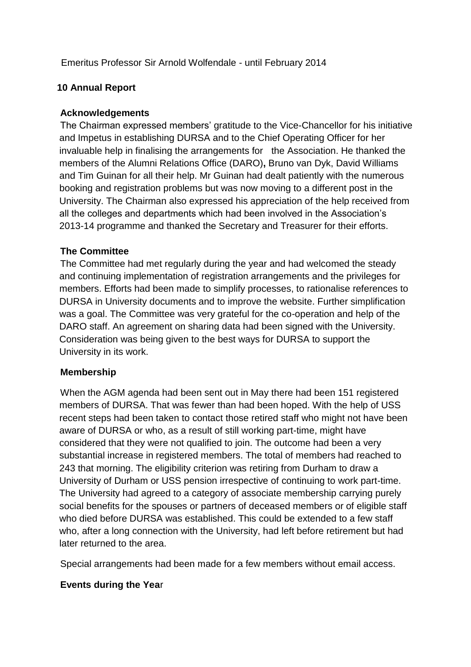Emeritus Professor Sir Arnold Wolfendale - until February 2014

# **10 Annual Report**

## **Acknowledgements**

The Chairman expressed members' gratitude to the Vice-Chancellor for his initiative and Impetus in establishing DURSA and to the Chief Operating Officer for her invaluable help in finalising the arrangements for the Association. He thanked the members of the Alumni Relations Office (DARO)**,** Bruno van Dyk, David Williams and Tim Guinan for all their help. Mr Guinan had dealt patiently with the numerous booking and registration problems but was now moving to a different post in the University. The Chairman also expressed his appreciation of the help received from all the colleges and departments which had been involved in the Association's 2013-14 programme and thanked the Secretary and Treasurer for their efforts.

## **The Committee**

The Committee had met regularly during the year and had welcomed the steady and continuing implementation of registration arrangements and the privileges for members. Efforts had been made to simplify processes, to rationalise references to DURSA in University documents and to improve the website. Further simplification was a goal. The Committee was very grateful for the co-operation and help of the DARO staff. An agreement on sharing data had been signed with the University. Consideration was being given to the best ways for DURSA to support the University in its work.

#### **Membership**

When the AGM agenda had been sent out in May there had been 151 registered members of DURSA. That was fewer than had been hoped. With the help of USS recent steps had been taken to contact those retired staff who might not have been aware of DURSA or who, as a result of still working part-time, might have considered that they were not qualified to join. The outcome had been a very substantial increase in registered members. The total of members had reached to 243 that morning. The eligibility criterion was retiring from Durham to draw a University of Durham or USS pension irrespective of continuing to work part-time. The University had agreed to a category of associate membership carrying purely social benefits for the spouses or partners of deceased members or of eligible staff who died before DURSA was established. This could be extended to a few staff who, after a long connection with the University, had left before retirement but had later returned to the area.

Special arrangements had been made for a few members without email access.

#### **Events during the Yea**r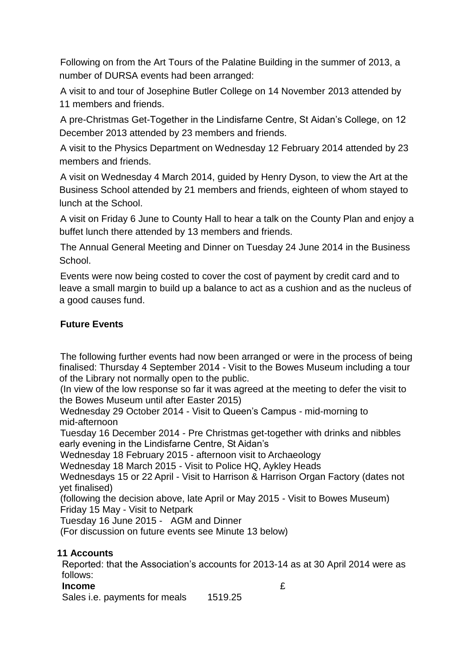Following on from the Art Tours of the Palatine Building in the summer of 2013, a number of DURSA events had been arranged:

A visit to and tour of Josephine Butler College on 14 November 2013 attended by 11 members and friends.

A pre-Christmas Get-Together in the Lindisfarne Centre, St Aidan's College, on 12 December 2013 attended by 23 members and friends.

A visit to the Physics Department on Wednesday 12 February 2014 attended by 23 members and friends.

A visit on Wednesday 4 March 2014, guided by Henry Dyson, to view the Art at the Business School attended by 21 members and friends, eighteen of whom stayed to lunch at the School.

A visit on Friday 6 June to County Hall to hear a talk on the County Plan and enjoy a buffet lunch there attended by 13 members and friends.

The Annual General Meeting and Dinner on Tuesday 24 June 2014 in the Business School.

Events were now being costed to cover the cost of payment by credit card and to leave a small margin to build up a balance to act as a cushion and as the nucleus of a good causes fund.

# **Future Events**

The following further events had now been arranged or were in the process of being finalised: Thursday 4 September 2014 - Visit to the Bowes Museum including a tour of the Library not normally open to the public.

(In view of the low response so far it was agreed at the meeting to defer the visit to the Bowes Museum until after Easter 2015)

Wednesday 29 October 2014 - Visit to Queen's Campus - mid-morning to mid-afternoon

Tuesday 16 December 2014 - Pre Christmas get-together with drinks and nibbles early evening in the Lindisfarne Centre, St Aidan's

Wednesday 18 February 2015 - afternoon visit to Archaeology

Wednesday 18 March 2015 - Visit to Police HQ, Aykley Heads

Wednesdays 15 or 22 April - Visit to Harrison & Harrison Organ Factory (dates not yet finalised)

(following the decision above, late April or May 2015 - Visit to Bowes Museum) Friday 15 May - Visit to Netpark

Tuesday 16 June 2015 - AGM and Dinner

(For discussion on future events see Minute 13 below)

# **11 Accounts**

Reported: that the Association's accounts for 2013-14 as at 30 April 2014 were as follows:

# **Income Exercise Exercise Exercise Services**

Sales i.e. payments for meals 1519.25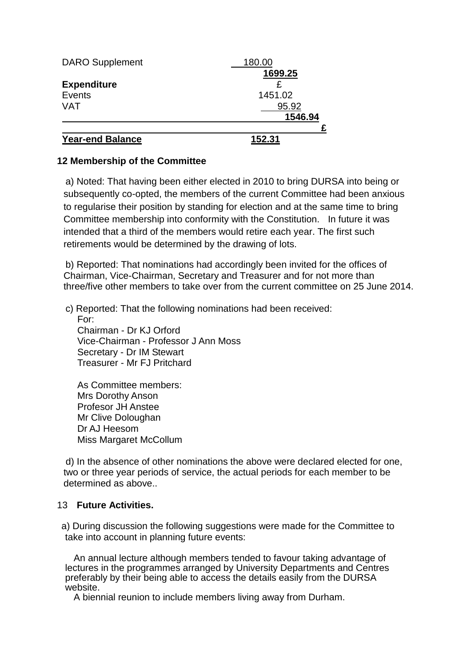| <b>Year-end Balance</b> | 152.31  |
|-------------------------|---------|
|                         |         |
|                         | 1546.94 |
| <b>VAT</b>              | 95.92   |
| Events                  | 1451.02 |
| <b>Expenditure</b>      |         |
|                         | 1699.25 |
| <b>DARO</b> Supplement  | 180.00  |

# **12 Membership of the Committee**

a) Noted: That having been either elected in 2010 to bring DURSA into being or subsequently co-opted, the members of the current Committee had been anxious to regularise their position by standing for election and at the same time to bring Committee membership into conformity with the Constitution. In future it was intended that a third of the members would retire each year. The first such retirements would be determined by the drawing of lots.

b) Reported: That nominations had accordingly been invited for the offices of Chairman, Vice-Chairman, Secretary and Treasurer and for not more than three/five other members to take over from the current committee on 25 June 2014.

c) Reported: That the following nominations had been received:

For: Chairman - Dr KJ Orford Vice-Chairman - Professor J Ann Moss Secretary - Dr IM Stewart Treasurer - Mr FJ Pritchard

As Committee members: Mrs Dorothy Anson Profesor JH Anstee Mr Clive Doloughan Dr AJ Heesom Miss Margaret McCollum

d) In the absence of other nominations the above were declared elected for one, two or three year periods of service, the actual periods for each member to be determined as above..

#### 13 **Future Activities.**

a) During discussion the following suggestions were made for the Committee to take into account in planning future events:

An annual lecture although members tended to favour taking advantage of lectures in the programmes arranged by University Departments and Centres preferably by their being able to access the details easily from the DURSA website.

A biennial reunion to include members living away from Durham.